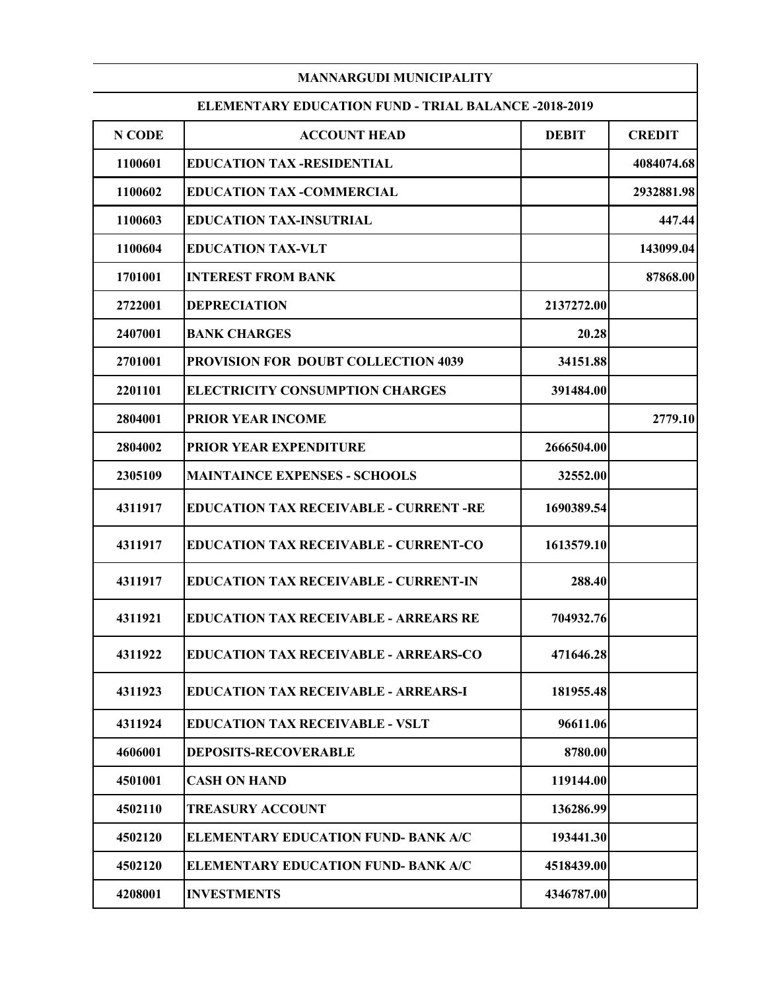|         | <b>MANNARGUDI MUNICIPALITY</b>                              |              |               |
|---------|-------------------------------------------------------------|--------------|---------------|
|         | <b>ELEMENTARY EDUCATION FUND - TRIAL BALANCE -2018-2019</b> |              |               |
| N CODE  | <b>ACCOUNT HEAD</b>                                         | <b>DEBIT</b> | <b>CREDIT</b> |
| 1100601 | <b>EDUCATION TAX -RESIDENTIAL</b>                           |              | 4084074.68    |
| 1100602 | <b>EDUCATION TAX -COMMERCIAL</b>                            |              | 2932881.98    |
| 1100603 | <b>EDUCATION TAX-INSUTRIAL</b>                              |              | 447.44        |
| 1100604 | <b>EDUCATION TAX-VLT</b>                                    |              | 143099.04     |
| 1701001 | <b>INTEREST FROM BANK</b>                                   |              | 87868.00      |
| 2722001 | <b>DEPRECIATION</b>                                         | 2137272.00   |               |
| 2407001 | <b>BANK CHARGES</b>                                         | 20.28        |               |
| 2701001 | PROVISION FOR DOUBT COLLECTION 4039                         | 34151.88     |               |
| 2201101 | <b>ELECTRICITY CONSUMPTION CHARGES</b>                      | 391484.00    |               |
| 2804001 | <b>PRIOR YEAR INCOME</b>                                    |              | 2779.10       |
| 2804002 | PRIOR YEAR EXPENDITURE                                      | 2666504.00   |               |
| 2305109 | <b>MAINTAINCE EXPENSES - SCHOOLS</b>                        | 32552.00     |               |
| 4311917 | <b>EDUCATION TAX RECEIVABLE - CURRENT -RE</b>               | 1690389.54   |               |
| 4311917 | <b>EDUCATION TAX RECEIVABLE - CURRENT-CO</b>                | 1613579.10   |               |
| 4311917 | <b>EDUCATION TAX RECEIVABLE - CURRENT-IN</b>                | 288.40       |               |
| 4311921 | <b>EDUCATION TAX RECEIVABLE - ARREARS RE</b>                | 704932.76    |               |
| 4311922 | <b>EDUCATION TAX RECEIVABLE - ARREARS-CO</b>                | 471646.28    |               |
| 4311923 | <b>EDUCATION TAX RECEIVABLE - ARREARS-I</b>                 | 181955.48    |               |
| 4311924 | <b>EDUCATION TAX RECEIVABLE - VSLT</b>                      | 96611.06     |               |
| 4606001 | <b>DEPOSITS-RECOVERABLE</b>                                 | 8780.00      |               |
| 4501001 | <b>CASH ON HAND</b>                                         | 119144.00    |               |
| 4502110 | <b>TREASURY ACCOUNT</b>                                     | 136286.99    |               |
| 4502120 | <b>ELEMENTARY EDUCATION FUND- BANK A/C</b>                  | 193441.30    |               |
| 4502120 | <b>ELEMENTARY EDUCATION FUND- BANK A/C</b>                  | 4518439.00   |               |
| 4208001 | <b>INVESTMENTS</b>                                          | 4346787.00   |               |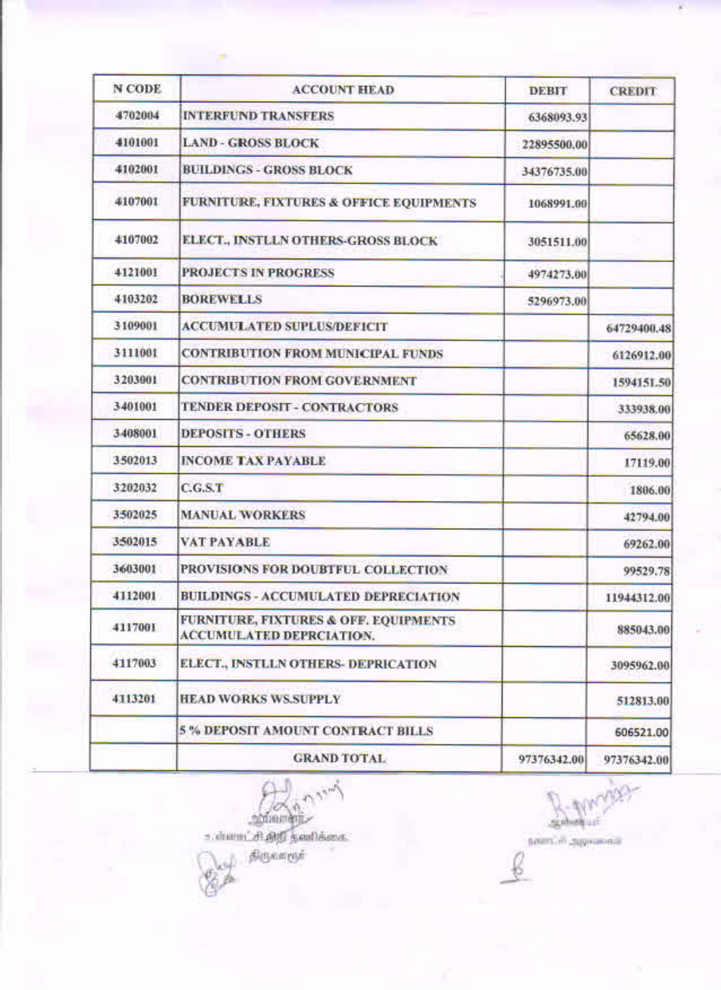| <b>N CODE</b> | <b>ACCOUNT HEAD</b>                                                                 | <b>DEBIT</b> | <b>CREDIT</b> |
|---------------|-------------------------------------------------------------------------------------|--------------|---------------|
| 4702004       | <b>INTERFUND TRANSFERS</b>                                                          | 6368093.93   |               |
| 4101001       | <b>LAND - GROSS BLOCK</b>                                                           | 22895500.00  |               |
| 4102001       | <b>BUILDINGS - GROSS BLOCK</b>                                                      | 34376735.00  |               |
| 4107001       | <b>FURNITURE, FIXTURES &amp; OFFICE EQUIPMENTS</b>                                  | 1068991.00   |               |
| 4107002       | ELECT., INSTLLN OTHERS-GROSS BLOCK                                                  | 3051511.00   |               |
| 4121001       | <b>PROJECTS IN PROGRESS</b>                                                         | 4974273.00   |               |
| 4103202       | <b>BOREWELLS</b>                                                                    | 5296973.00   |               |
| 3109001       | <b>ACCUMULATED SUPLUS/DEFICIT</b>                                                   |              | 64729400.48   |
| 3111001       | <b>CONTRIBUTION FROM MUNICIPAL FUNDS</b>                                            |              | 6126912.00    |
| 3203001       | <b>CONTRIBUTION FROM GOVERNMENT</b>                                                 |              | 1594151.50    |
| 3401001       | TENDER DEPOSIT - CONTRACTORS                                                        |              | 333938.00     |
| 3408001       | <b>DEPOSITS - OTHERS</b>                                                            |              | 65628.00      |
| 3502013       | <b>INCOME TAX PAYABLE</b>                                                           |              | 17119.00      |
| 3202032       | C.G.S.T                                                                             |              | 1806.00       |
| 3502025       | <b>MANUAL WORKERS</b>                                                               |              | 42794.00      |
| 3502015       | <b>VAT PAYABLE</b>                                                                  |              | 69262.00      |
| 3603001       | PROVISIONS FOR DOUBTFUL COLLECTION                                                  |              | 99529.78      |
| 4112001       | <b>BUILDINGS - ACCUMULATED DEPRECIATION</b>                                         |              | 11944312.00   |
| 4117001       | <b>FURNITURE, FIXTURES &amp; OFF. EQUIPMENTS</b><br><b>ACCUMULATED DEPRCIATION.</b> |              | 885043.00     |
| 4117003       | ELECT., INSTLLN OTHERS- DEPRICATION                                                 |              | 3095962.00    |
| 4113201       | <b>HEAD WORKS WS.SUPPLY</b>                                                         |              | 512813.00     |
|               | <b>5% DEPOSIT AMOUNT CONTRACT BILLS</b>                                             |              | 606521.00     |
|               | <b>GRAND TOTAL</b>                                                                  | 97376342.00  | 97376342.00   |

School School Charles &

**Contract** 

B- Muritis paint in approved Ç

¥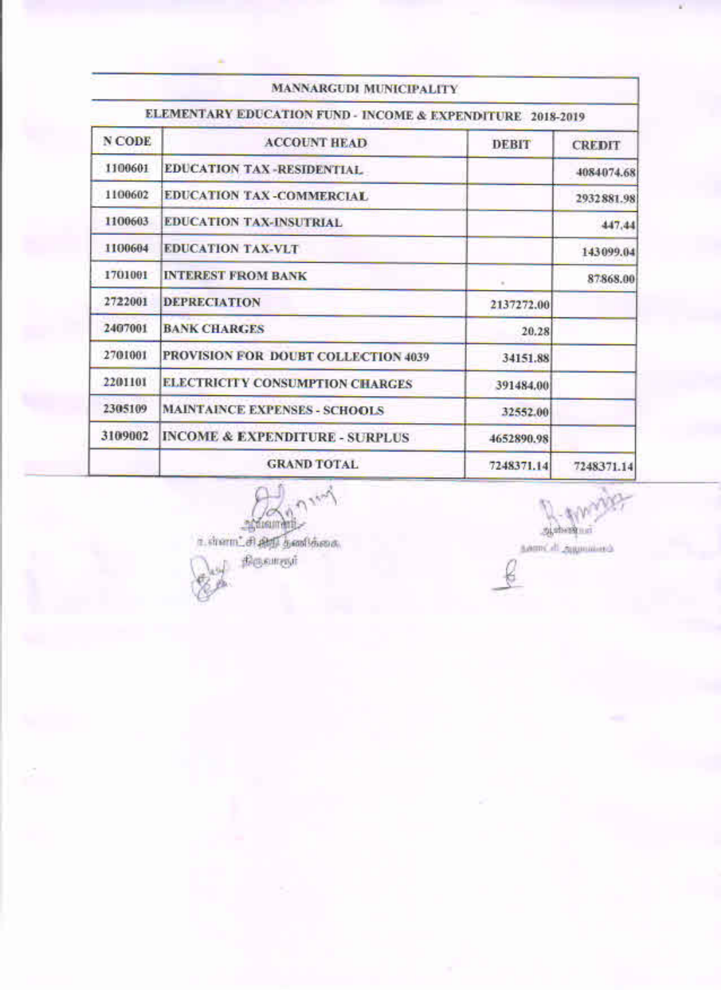|         | ELEMENTARY EDUCATION FUND - INCOME & EXPENDITURE 2018-2019 |              |               |
|---------|------------------------------------------------------------|--------------|---------------|
| N CODE  | <b>ACCOUNT HEAD</b>                                        | <b>DEBIT</b> | <b>CREDIT</b> |
| 1100601 | <b>EDUCATION TAX-RESIDENTIAL</b>                           |              | 4084074.68    |
| 1100602 | <b>EDUCATION TAX-COMMERCIAL</b>                            |              | 2932881.98    |
| 1100603 | <b>EDUCATION TAX-INSUTRIAL</b>                             |              | 447,44        |
| 1100604 | <b>EDUCATION TAX-VLT</b>                                   |              | 143099.04     |
| 1701001 | <b>INTEREST FROM BANK</b>                                  |              | 87868.00      |
| 2722001 | <b>DEPRECIATION</b>                                        | 2137272.00   |               |
| 2407001 | <b>BANK CHARGES</b>                                        | 20.28        |               |
| 2701001 | PROVISION FOR DOUBT COLLECTION 4039                        | 34151.88     |               |
| 2201101 | <b>ELECTRICITY CONSUMPTION CHARGES</b>                     | 391484.00    |               |
| 2305109 | <b>MAINTAINCE EXPENSES - SCHOOLS</b>                       | 32552.00     |               |
| 3109002 | <b>INCOME &amp; EXPENDITURE - SURPLUS</b>                  | 4652890.98   |               |
|         | <b>GRAND TOTAL</b>                                         | 7248371.14   | 7248371.14    |

int. 

Stanford Com samCdL appointed

¥

or Billidan<br>Populari<br>An

٠

g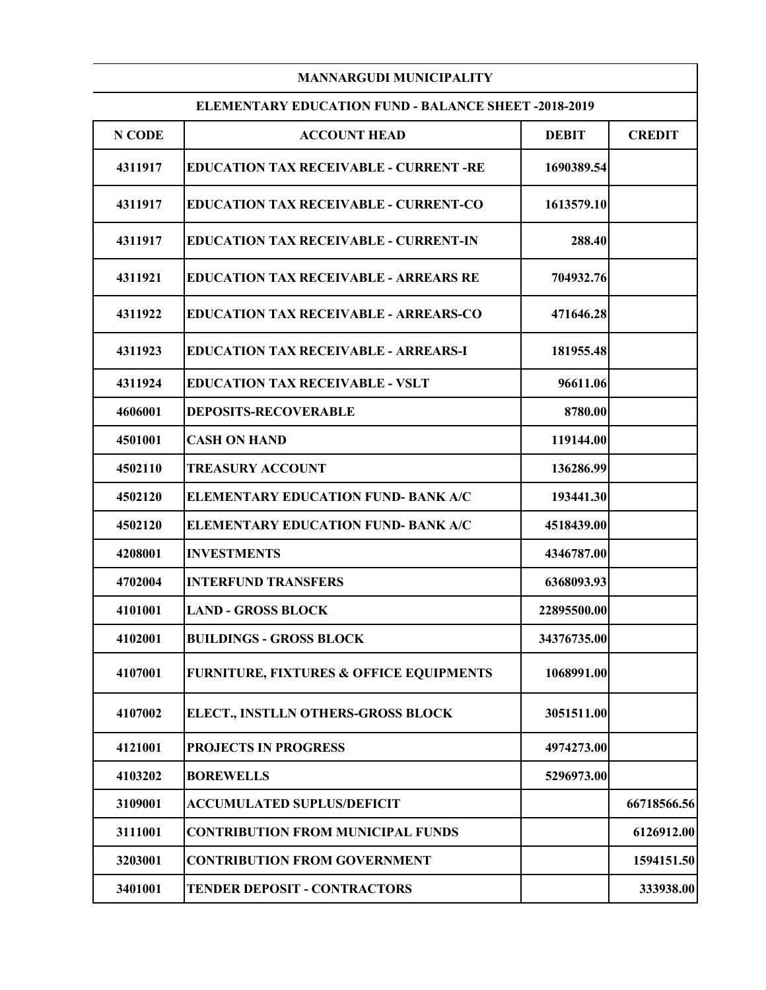|         | <b>MANNARGUDI MUNICIPALITY</b>                              |              |               |
|---------|-------------------------------------------------------------|--------------|---------------|
|         | <b>ELEMENTARY EDUCATION FUND - BALANCE SHEET -2018-2019</b> |              |               |
| N CODE  | <b>ACCOUNT HEAD</b>                                         | <b>DEBIT</b> | <b>CREDIT</b> |
| 4311917 | <b>EDUCATION TAX RECEIVABLE - CURRENT -RE</b>               | 1690389.54   |               |
| 4311917 | <b>EDUCATION TAX RECEIVABLE - CURRENT-CO</b>                | 1613579.10   |               |
| 4311917 | <b>EDUCATION TAX RECEIVABLE - CURRENT-IN</b>                | 288.40       |               |
| 4311921 | <b>EDUCATION TAX RECEIVABLE - ARREARS RE</b>                | 704932.76    |               |
| 4311922 | <b>EDUCATION TAX RECEIVABLE - ARREARS-CO</b>                | 471646.28    |               |
| 4311923 | <b>EDUCATION TAX RECEIVABLE - ARREARS-I</b>                 | 181955.48    |               |
| 4311924 | <b>EDUCATION TAX RECEIVABLE - VSLT</b>                      | 96611.06     |               |
| 4606001 | <b>DEPOSITS-RECOVERABLE</b>                                 | 8780.00      |               |
| 4501001 | <b>CASH ON HAND</b>                                         | 119144.00    |               |
| 4502110 | <b>TREASURY ACCOUNT</b>                                     | 136286.99    |               |
| 4502120 | <b>ELEMENTARY EDUCATION FUND- BANK A/C</b>                  | 193441.30    |               |
| 4502120 | <b>ELEMENTARY EDUCATION FUND- BANK A/C</b>                  | 4518439.00   |               |
| 4208001 | <b>INVESTMENTS</b>                                          | 4346787.00   |               |
| 4702004 | <b>INTERFUND TRANSFERS</b>                                  | 6368093.93   |               |
| 4101001 | <b>LAND - GROSS BLOCK</b>                                   | 22895500.00  |               |
| 4102001 | <b>BUILDINGS - GROSS BLOCK</b>                              | 34376735.00  |               |
| 4107001 | <b>FURNITURE, FIXTURES &amp; OFFICE EQUIPMENTS</b>          | 1068991.00   |               |
| 4107002 | ELECT., INSTLLN OTHERS-GROSS BLOCK                          | 3051511.00   |               |
| 4121001 | <b>PROJECTS IN PROGRESS</b>                                 | 4974273.00   |               |
| 4103202 | <b>BOREWELLS</b>                                            | 5296973.00   |               |
| 3109001 | <b>ACCUMULATED SUPLUS/DEFICIT</b>                           |              | 66718566.56   |
| 3111001 | <b>CONTRIBUTION FROM MUNICIPAL FUNDS</b>                    |              | 6126912.00    |
| 3203001 | <b>CONTRIBUTION FROM GOVERNMENT</b>                         |              | 1594151.50    |
| 3401001 | <b>TENDER DEPOSIT - CONTRACTORS</b>                         |              | 333938.00     |